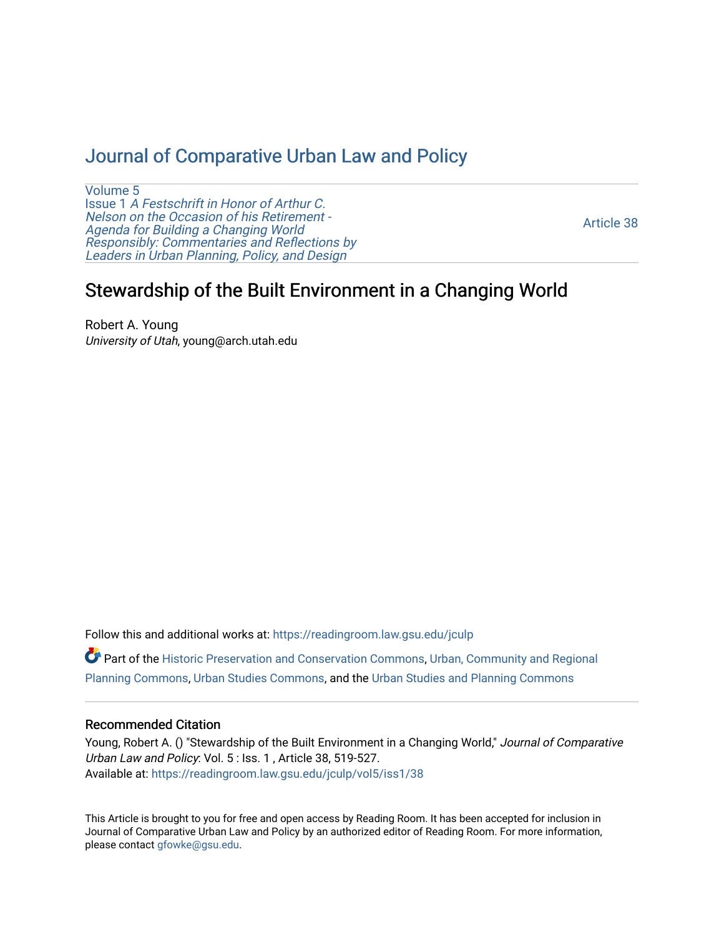# [Journal of Comparative Urban Law and Policy](https://readingroom.law.gsu.edu/jculp)

[Volume 5](https://readingroom.law.gsu.edu/jculp/vol5) Issue 1 [A Festschrift in Honor of Arthur C.](https://readingroom.law.gsu.edu/jculp/vol5/iss1) [Nelson on the Occasion of his Retirement -](https://readingroom.law.gsu.edu/jculp/vol5/iss1)  [Agenda for Building a Changing World](https://readingroom.law.gsu.edu/jculp/vol5/iss1)  [Responsibly: Commentaries and Reflections by](https://readingroom.law.gsu.edu/jculp/vol5/iss1) [Leaders in Urban Planning, Policy, and Design](https://readingroom.law.gsu.edu/jculp/vol5/iss1) 

[Article 38](https://readingroom.law.gsu.edu/jculp/vol5/iss1/38) 

# Stewardship of the Built Environment in a Changing World

Robert A. Young University of Utah, young@arch.utah.edu

Follow this and additional works at: [https://readingroom.law.gsu.edu/jculp](https://readingroom.law.gsu.edu/jculp?utm_source=readingroom.law.gsu.edu%2Fjculp%2Fvol5%2Fiss1%2F38&utm_medium=PDF&utm_campaign=PDFCoverPages) 

Part of the [Historic Preservation and Conservation Commons](http://network.bepress.com/hgg/discipline/781?utm_source=readingroom.law.gsu.edu%2Fjculp%2Fvol5%2Fiss1%2F38&utm_medium=PDF&utm_campaign=PDFCoverPages), [Urban, Community and Regional](http://network.bepress.com/hgg/discipline/776?utm_source=readingroom.law.gsu.edu%2Fjculp%2Fvol5%2Fiss1%2F38&utm_medium=PDF&utm_campaign=PDFCoverPages)  [Planning Commons](http://network.bepress.com/hgg/discipline/776?utm_source=readingroom.law.gsu.edu%2Fjculp%2Fvol5%2Fiss1%2F38&utm_medium=PDF&utm_campaign=PDFCoverPages), [Urban Studies Commons,](http://network.bepress.com/hgg/discipline/402?utm_source=readingroom.law.gsu.edu%2Fjculp%2Fvol5%2Fiss1%2F38&utm_medium=PDF&utm_campaign=PDFCoverPages) and the [Urban Studies and Planning Commons](http://network.bepress.com/hgg/discipline/436?utm_source=readingroom.law.gsu.edu%2Fjculp%2Fvol5%2Fiss1%2F38&utm_medium=PDF&utm_campaign=PDFCoverPages) 

## Recommended Citation

Young, Robert A. () "Stewardship of the Built Environment in a Changing World," Journal of Comparative Urban Law and Policy: Vol. 5 : Iss. 1 , Article 38, 519-527. Available at: [https://readingroom.law.gsu.edu/jculp/vol5/iss1/38](https://readingroom.law.gsu.edu/jculp/vol5/iss1/38?utm_source=readingroom.law.gsu.edu%2Fjculp%2Fvol5%2Fiss1%2F38&utm_medium=PDF&utm_campaign=PDFCoverPages)

This Article is brought to you for free and open access by Reading Room. It has been accepted for inclusion in Journal of Comparative Urban Law and Policy by an authorized editor of Reading Room. For more information, please contact [gfowke@gsu.edu](mailto:gfowke@gsu.edu).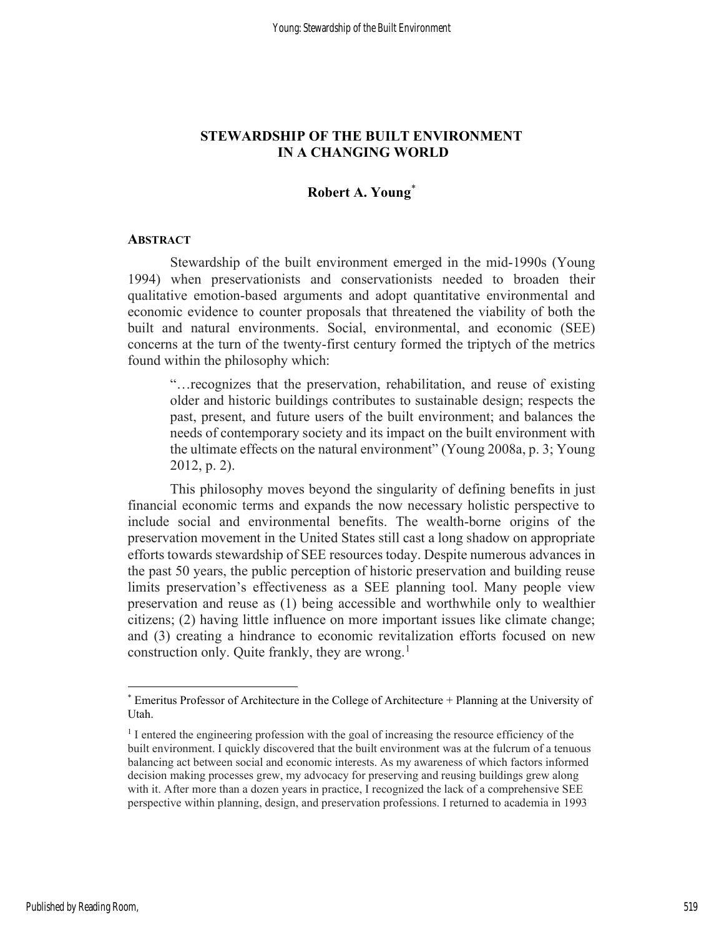# STEWARDSHIP OF THE BUILT ENVIRONMENT IN A CHANGING WORLD

# Robert A. Young\*

#### **ABSTRACT**

Stewardship of the built environment emerged in the mid-1990s (Young 1994) when preservationists and conservationists needed to broaden their qualitative emotion-based arguments and adopt quantitative environmental and economic evidence to counter proposals that threatened the viability of both the built and natural environments. Social, environmental, and economic (SEE) concerns at the turn of the twenty-first century formed the triptych of the metrics found within the philosophy which:

"…recognizes that the preservation, rehabilitation, and reuse of existing older and historic buildings contributes to sustainable design; respects the past, present, and future users of the built environment; and balances the needs of contemporary society and its impact on the built environment with the ultimate effects on the natural environment" (Young 2008a, p. 3; Young 2012, p. 2).

This philosophy moves beyond the singularity of defining benefits in just financial economic terms and expands the now necessary holistic perspective to include social and environmental benefits. The wealth-borne origins of the preservation movement in the United States still cast a long shadow on appropriate efforts towards stewardship of SEE resources today. Despite numerous advances in the past 50 years, the public perception of historic preservation and building reuse limits preservation's effectiveness as a SEE planning tool. Many people view preservation and reuse as (1) being accessible and worthwhile only to wealthier citizens; (2) having little influence on more important issues like climate change; and (3) creating a hindrance to economic revitalization efforts focused on new construction only. Quite frankly, they are wrong. $<sup>1</sup>$ </sup>

<sup>\*</sup> Emeritus Professor of Architecture in the College of Architecture + Planning at the University of Utah.

<sup>&</sup>lt;sup>1</sup> I entered the engineering profession with the goal of increasing the resource efficiency of the built environment. I quickly discovered that the built environment was at the fulcrum of a tenuous balancing act between social and economic interests. As my awareness of which factors informed decision making processes grew, my advocacy for preserving and reusing buildings grew along with it. After more than a dozen years in practice, I recognized the lack of a comprehensive SEE perspective within planning, design, and preservation professions. I returned to academia in 1993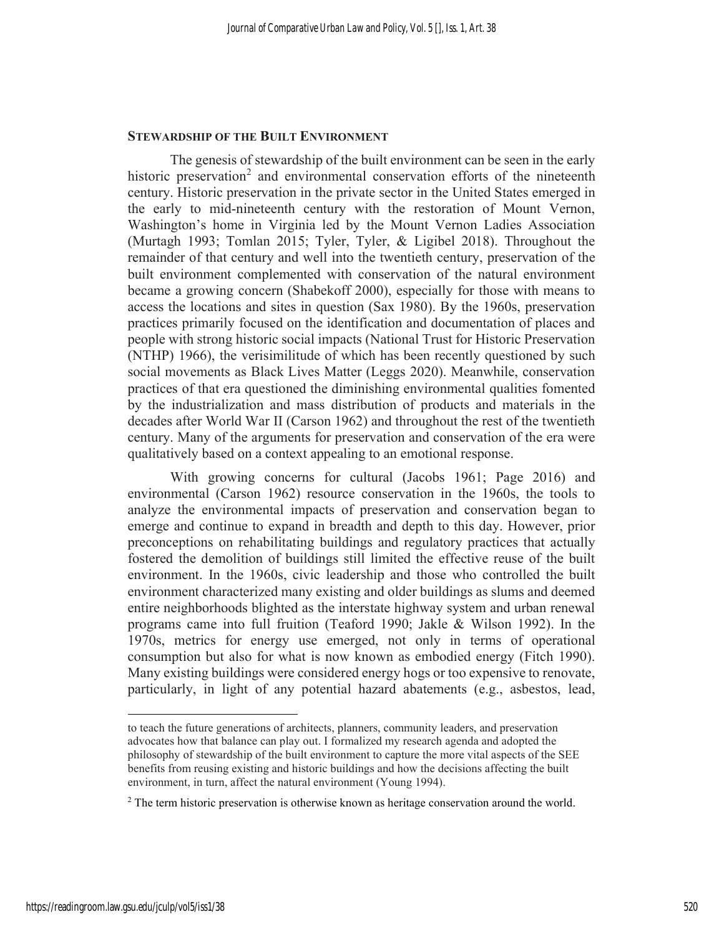### STEWARDSHIP OF THE BUILT ENVIRONMENT

The genesis of stewardship of the built environment can be seen in the early historic preservation<sup>2</sup> and environmental conservation efforts of the nineteenth century. Historic preservation in the private sector in the United States emerged in the early to mid-nineteenth century with the restoration of Mount Vernon, Washington's home in Virginia led by the Mount Vernon Ladies Association (Murtagh 1993; Tomlan 2015; Tyler, Tyler, & Ligibel 2018). Throughout the remainder of that century and well into the twentieth century, preservation of the built environment complemented with conservation of the natural environment became a growing concern (Shabekoff 2000), especially for those with means to access the locations and sites in question (Sax 1980). By the 1960s, preservation practices primarily focused on the identification and documentation of places and people with strong historic social impacts (National Trust for Historic Preservation (NTHP) 1966), the verisimilitude of which has been recently questioned by such social movements as Black Lives Matter (Leggs 2020). Meanwhile, conservation practices of that era questioned the diminishing environmental qualities fomented by the industrialization and mass distribution of products and materials in the decades after World War II (Carson 1962) and throughout the rest of the twentieth century. Many of the arguments for preservation and conservation of the era were qualitatively based on a context appealing to an emotional response.

With growing concerns for cultural (Jacobs 1961; Page 2016) and environmental (Carson 1962) resource conservation in the 1960s, the tools to analyze the environmental impacts of preservation and conservation began to emerge and continue to expand in breadth and depth to this day. However, prior preconceptions on rehabilitating buildings and regulatory practices that actually fostered the demolition of buildings still limited the effective reuse of the built environment. In the 1960s, civic leadership and those who controlled the built environment characterized many existing and older buildings as slums and deemed entire neighborhoods blighted as the interstate highway system and urban renewal programs came into full fruition (Teaford 1990; Jakle & Wilson 1992). In the 1970s, metrics for energy use emerged, not only in terms of operational consumption but also for what is now known as embodied energy (Fitch 1990). Many existing buildings were considered energy hogs or too expensive to renovate, particularly, in light of any potential hazard abatements (e.g., asbestos, lead,

to teach the future generations of architects, planners, community leaders, and preservation advocates how that balance can play out. I formalized my research agenda and adopted the philosophy of stewardship of the built environment to capture the more vital aspects of the SEE benefits from reusing existing and historic buildings and how the decisions affecting the built environment, in turn, affect the natural environment (Young 1994).

<sup>&</sup>lt;sup>2</sup> The term historic preservation is otherwise known as heritage conservation around the world.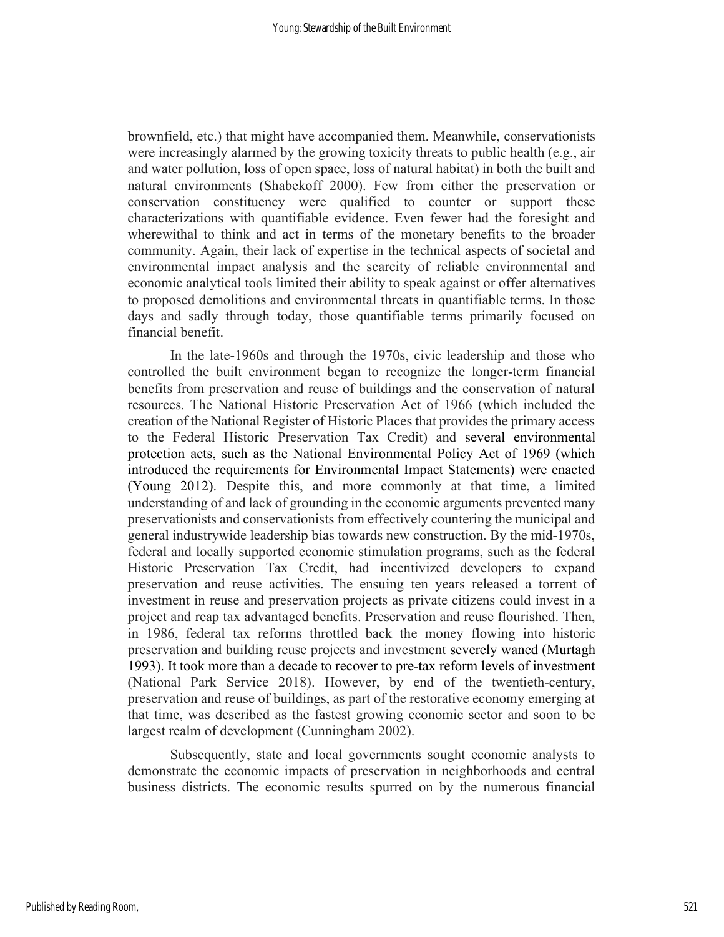brownfield, etc.) that might have accompanied them. Meanwhile, conservationists were increasingly alarmed by the growing toxicity threats to public health (e.g., air and water pollution, loss of open space, loss of natural habitat) in both the built and natural environments (Shabekoff 2000). Few from either the preservation or conservation constituency were qualified to counter or support these characterizations with quantifiable evidence. Even fewer had the foresight and wherewithal to think and act in terms of the monetary benefits to the broader community. Again, their lack of expertise in the technical aspects of societal and environmental impact analysis and the scarcity of reliable environmental and economic analytical tools limited their ability to speak against or offer alternatives to proposed demolitions and environmental threats in quantifiable terms. In those days and sadly through today, those quantifiable terms primarily focused on financial benefit.

In the late-1960s and through the 1970s, civic leadership and those who controlled the built environment began to recognize the longer-term financial benefits from preservation and reuse of buildings and the conservation of natural resources. The National Historic Preservation Act of 1966 (which included the creation of the National Register of Historic Places that provides the primary access to the Federal Historic Preservation Tax Credit) and several environmental protection acts, such as the National Environmental Policy Act of 1969 (which introduced the requirements for Environmental Impact Statements) were enacted (Young 2012). Despite this, and more commonly at that time, a limited understanding of and lack of grounding in the economic arguments prevented many preservationists and conservationists from effectively countering the municipal and general industrywide leadership bias towards new construction. By the mid-1970s, federal and locally supported economic stimulation programs, such as the federal Historic Preservation Tax Credit, had incentivized developers to expand preservation and reuse activities. The ensuing ten years released a torrent of investment in reuse and preservation projects as private citizens could invest in a project and reap tax advantaged benefits. Preservation and reuse flourished. Then, in 1986, federal tax reforms throttled back the money flowing into historic preservation and building reuse projects and investment severely waned (Murtagh 1993). It took more than a decade to recover to pre-tax reform levels of investment (National Park Service 2018). However, by end of the twentieth-century, preservation and reuse of buildings, as part of the restorative economy emerging at that time, was described as the fastest growing economic sector and soon to be largest realm of development (Cunningham 2002).

Subsequently, state and local governments sought economic analysts to demonstrate the economic impacts of preservation in neighborhoods and central business districts. The economic results spurred on by the numerous financial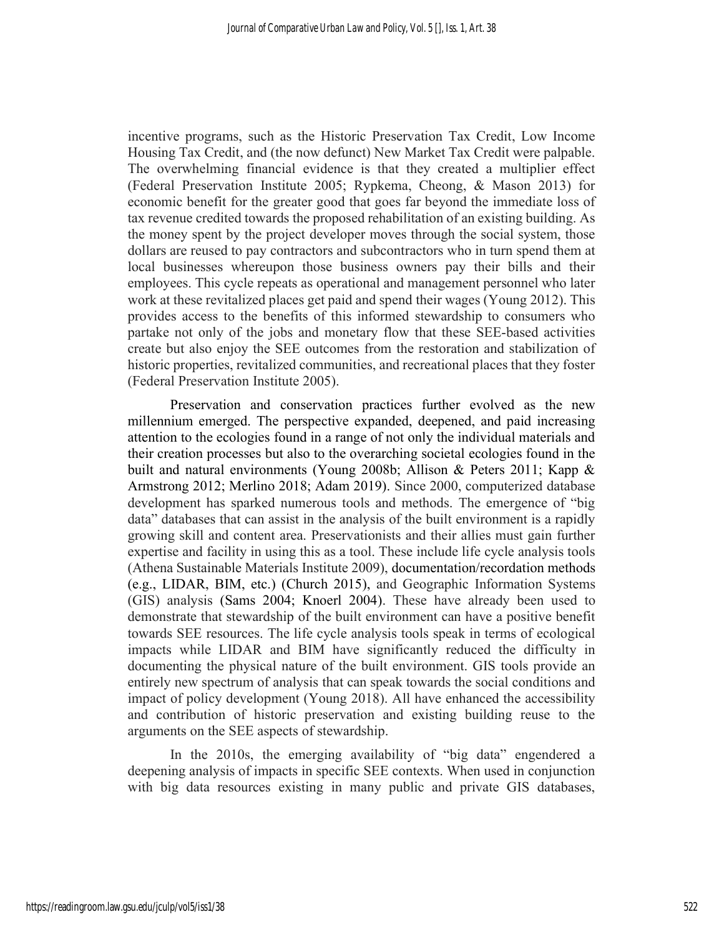incentive programs, such as the Historic Preservation Tax Credit, Low Income Housing Tax Credit, and (the now defunct) New Market Tax Credit were palpable. The overwhelming financial evidence is that they created a multiplier effect (Federal Preservation Institute 2005; Rypkema, Cheong, & Mason 2013) for economic benefit for the greater good that goes far beyond the immediate loss of tax revenue credited towards the proposed rehabilitation of an existing building. As the money spent by the project developer moves through the social system, those dollars are reused to pay contractors and subcontractors who in turn spend them at local businesses whereupon those business owners pay their bills and their employees. This cycle repeats as operational and management personnel who later work at these revitalized places get paid and spend their wages (Young 2012). This provides access to the benefits of this informed stewardship to consumers who partake not only of the jobs and monetary flow that these SEE-based activities create but also enjoy the SEE outcomes from the restoration and stabilization of historic properties, revitalized communities, and recreational places that they foster (Federal Preservation Institute 2005).

Preservation and conservation practices further evolved as the new millennium emerged. The perspective expanded, deepened, and paid increasing attention to the ecologies found in a range of not only the individual materials and their creation processes but also to the overarching societal ecologies found in the built and natural environments (Young 2008b; Allison & Peters 2011; Kapp & Armstrong 2012; Merlino 2018; Adam 2019). Since 2000, computerized database development has sparked numerous tools and methods. The emergence of "big data" databases that can assist in the analysis of the built environment is a rapidly growing skill and content area. Preservationists and their allies must gain further expertise and facility in using this as a tool. These include life cycle analysis tools (Athena Sustainable Materials Institute 2009), documentation/recordation methods (e.g., LIDAR, BIM, etc.) (Church 2015), and Geographic Information Systems (GIS) analysis (Sams 2004; Knoerl 2004). These have already been used to demonstrate that stewardship of the built environment can have a positive benefit towards SEE resources. The life cycle analysis tools speak in terms of ecological impacts while LIDAR and BIM have significantly reduced the difficulty in documenting the physical nature of the built environment. GIS tools provide an entirely new spectrum of analysis that can speak towards the social conditions and impact of policy development (Young 2018). All have enhanced the accessibility and contribution of historic preservation and existing building reuse to the arguments on the SEE aspects of stewardship.

In the 2010s, the emerging availability of "big data" engendered a deepening analysis of impacts in specific SEE contexts. When used in conjunction with big data resources existing in many public and private GIS databases,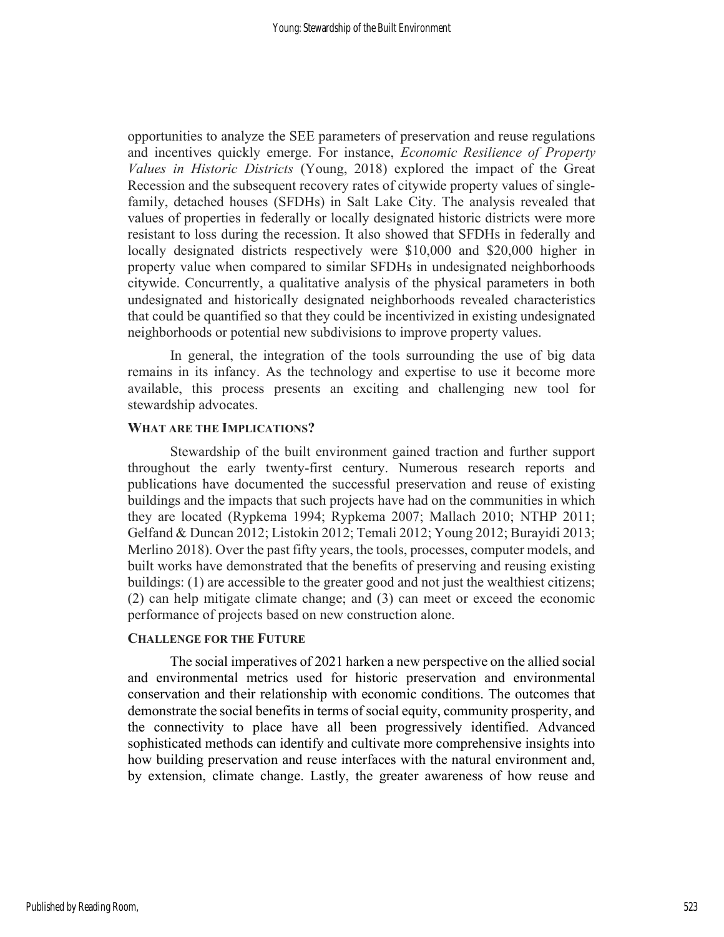opportunities to analyze the SEE parameters of preservation and reuse regulations and incentives quickly emerge. For instance, Economic Resilience of Property Values in Historic Districts (Young, 2018) explored the impact of the Great Recession and the subsequent recovery rates of citywide property values of singlefamily, detached houses (SFDHs) in Salt Lake City. The analysis revealed that values of properties in federally or locally designated historic districts were more resistant to loss during the recession. It also showed that SFDHs in federally and locally designated districts respectively were \$10,000 and \$20,000 higher in property value when compared to similar SFDHs in undesignated neighborhoods citywide. Concurrently, a qualitative analysis of the physical parameters in both undesignated and historically designated neighborhoods revealed characteristics that could be quantified so that they could be incentivized in existing undesignated neighborhoods or potential new subdivisions to improve property values.

In general, the integration of the tools surrounding the use of big data remains in its infancy. As the technology and expertise to use it become more available, this process presents an exciting and challenging new tool for stewardship advocates.

## WHAT ARE THE IMPLICATIONS?

Stewardship of the built environment gained traction and further support throughout the early twenty-first century. Numerous research reports and publications have documented the successful preservation and reuse of existing buildings and the impacts that such projects have had on the communities in which they are located (Rypkema 1994; Rypkema 2007; Mallach 2010; NTHP 2011; Gelfand & Duncan 2012; Listokin 2012; Temali 2012; Young 2012; Burayidi 2013; Merlino 2018). Over the past fifty years, the tools, processes, computer models, and built works have demonstrated that the benefits of preserving and reusing existing buildings: (1) are accessible to the greater good and not just the wealthiest citizens; (2) can help mitigate climate change; and (3) can meet or exceed the economic performance of projects based on new construction alone.

## CHALLENGE FOR THE FUTURE

The social imperatives of 2021 harken a new perspective on the allied social and environmental metrics used for historic preservation and environmental conservation and their relationship with economic conditions. The outcomes that demonstrate the social benefits in terms of social equity, community prosperity, and the connectivity to place have all been progressively identified. Advanced sophisticated methods can identify and cultivate more comprehensive insights into how building preservation and reuse interfaces with the natural environment and, by extension, climate change. Lastly, the greater awareness of how reuse and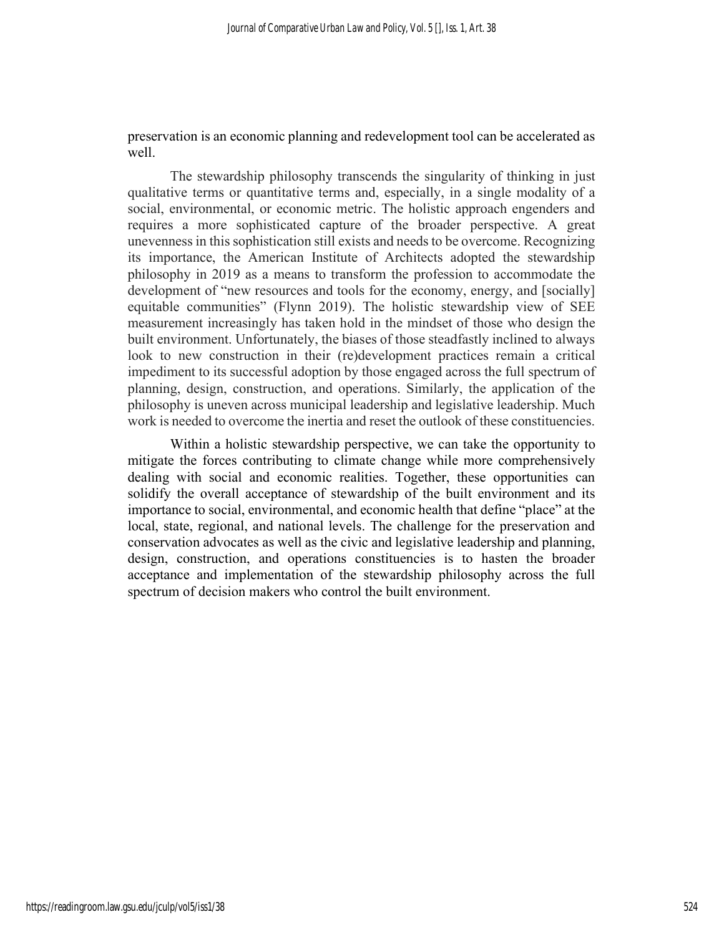preservation is an economic planning and redevelopment tool can be accelerated as well.

The stewardship philosophy transcends the singularity of thinking in just qualitative terms or quantitative terms and, especially, in a single modality of a social, environmental, or economic metric. The holistic approach engenders and requires a more sophisticated capture of the broader perspective. A great unevenness in this sophistication still exists and needs to be overcome. Recognizing its importance, the American Institute of Architects adopted the stewardship philosophy in 2019 as a means to transform the profession to accommodate the development of "new resources and tools for the economy, energy, and [socially] equitable communities" (Flynn 2019). The holistic stewardship view of SEE measurement increasingly has taken hold in the mindset of those who design the built environment. Unfortunately, the biases of those steadfastly inclined to always look to new construction in their (re)development practices remain a critical impediment to its successful adoption by those engaged across the full spectrum of planning, design, construction, and operations. Similarly, the application of the philosophy is uneven across municipal leadership and legislative leadership. Much work is needed to overcome the inertia and reset the outlook of these constituencies.

Within a holistic stewardship perspective, we can take the opportunity to mitigate the forces contributing to climate change while more comprehensively dealing with social and economic realities. Together, these opportunities can solidify the overall acceptance of stewardship of the built environment and its importance to social, environmental, and economic health that define "place" at the local, state, regional, and national levels. The challenge for the preservation and conservation advocates as well as the civic and legislative leadership and planning, design, construction, and operations constituencies is to hasten the broader acceptance and implementation of the stewardship philosophy across the full spectrum of decision makers who control the built environment.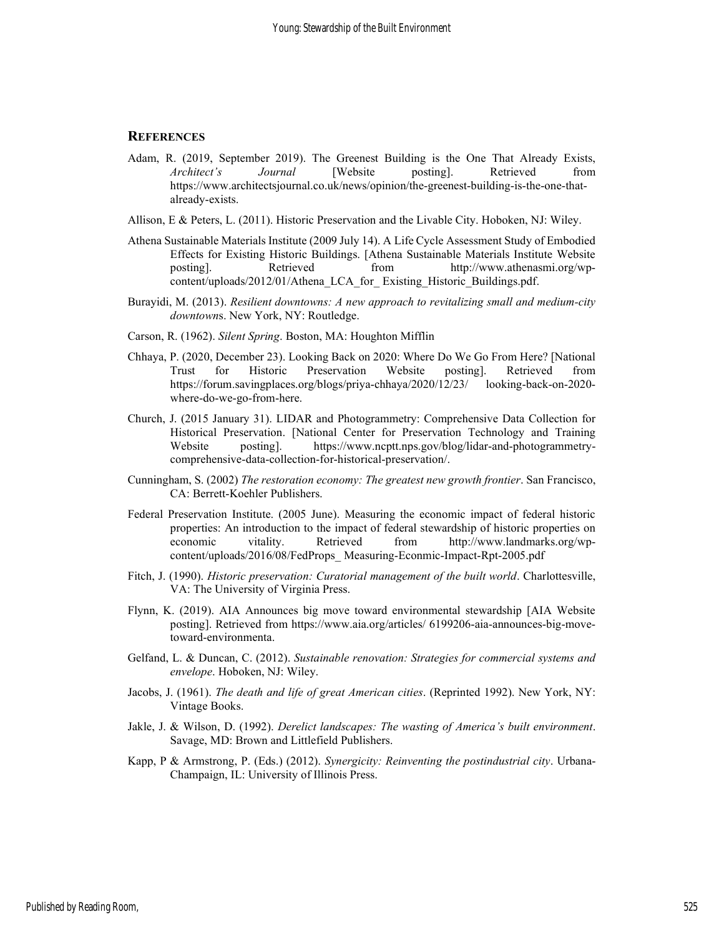#### **REFERENCES**

- Adam, R. (2019, September 2019). The Greenest Building is the One That Already Exists, Architect's Journal [Website posting]. Retrieved from https://www.architectsjournal.co.uk/news/opinion/the-greenest-building-is-the-one-thatalready-exists.
- Allison, E & Peters, L. (2011). Historic Preservation and the Livable City. Hoboken, NJ: Wiley.
- Athena Sustainable Materials Institute (2009 July 14). A Life Cycle Assessment Study of Embodied Effects for Existing Historic Buildings. [Athena Sustainable Materials Institute Website posting]. Retrieved from http://www.athenasmi.org/wpcontent/uploads/2012/01/Athena\_LCA\_for\_ Existing\_Historic\_Buildings.pdf.
- Burayidi, M. (2013). Resilient downtowns: A new approach to revitalizing small and medium-city downtowns. New York, NY: Routledge.
- Carson, R. (1962). Silent Spring. Boston, MA: Houghton Mifflin
- Chhaya, P. (2020, December 23). Looking Back on 2020: Where Do We Go From Here? [National Trust for Historic Preservation Website posting]. Retrieved from https://forum.savingplaces.org/blogs/priya-chhaya/2020/12/23/ looking-back-on-2020 where-do-we-go-from-here.
- Church, J. (2015 January 31). LIDAR and Photogrammetry: Comprehensive Data Collection for Historical Preservation. [National Center for Preservation Technology and Training Website posting]. https://www.ncptt.nps.gov/blog/lidar-and-photogrammetrycomprehensive-data-collection-for-historical-preservation/.
- Cunningham, S. (2002) The restoration economy: The greatest new growth frontier. San Francisco, CA: Berrett-Koehler Publishers.
- Federal Preservation Institute. (2005 June). Measuring the economic impact of federal historic properties: An introduction to the impact of federal stewardship of historic properties on economic vitality. Retrieved from http://www.landmarks.org/wpcontent/uploads/2016/08/FedProps\_ Measuring-Econmic-Impact-Rpt-2005.pdf
- Fitch, J. (1990). Historic preservation: Curatorial management of the built world. Charlottesville, VA: The University of Virginia Press.
- Flynn, K. (2019). AIA Announces big move toward environmental stewardship [AIA Website posting]. Retrieved from https://www.aia.org/articles/ 6199206-aia-announces-big-movetoward-environmenta.
- Gelfand, L. & Duncan, C. (2012). Sustainable renovation: Strategies for commercial systems and envelope. Hoboken, NJ: Wiley.
- Jacobs, J. (1961). The death and life of great American cities. (Reprinted 1992). New York, NY: Vintage Books.
- Jakle, J. & Wilson, D. (1992). Derelict landscapes: The wasting of America's built environment. Savage, MD: Brown and Littlefield Publishers.
- Kapp, P & Armstrong, P. (Eds.) (2012). Synergicity: Reinventing the postindustrial city. Urbana-Champaign, IL: University of Illinois Press.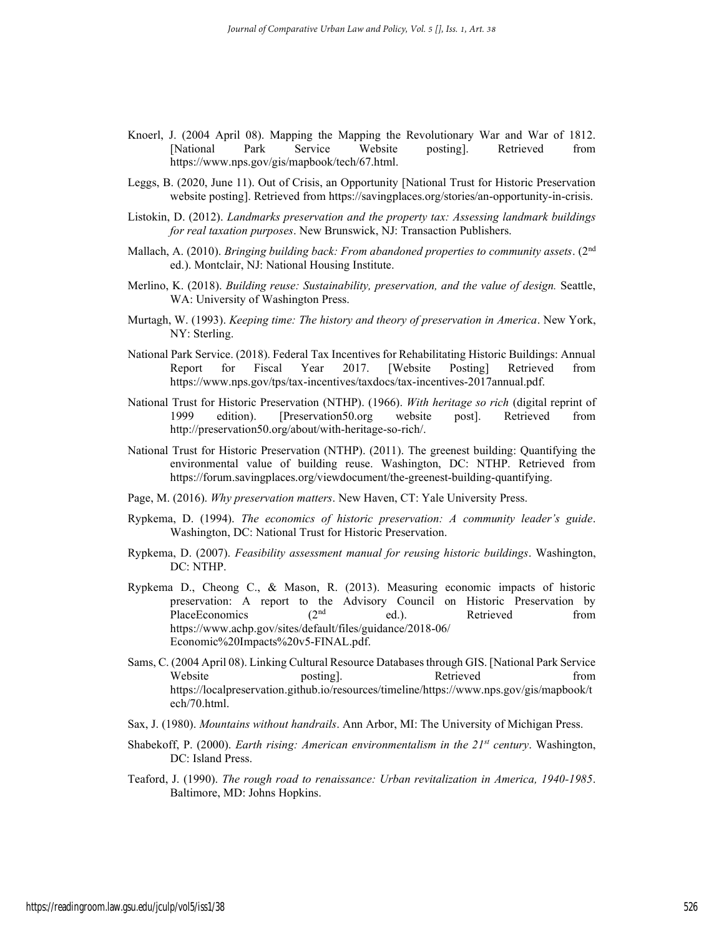- Knoerl, J. (2004 April 08). Mapping the Mapping the Revolutionary War and War of 1812. [National Park Service Website posting]. Retrieved from https://www.nps.gov/gis/mapbook/tech/67.html.
- Leggs, B. (2020, June 11). Out of Crisis, an Opportunity [National Trust for Historic Preservation website posting]. Retrieved from https://savingplaces.org/stories/an-opportunity-in-crisis.
- Listokin, D. (2012). Landmarks preservation and the property tax: Assessing landmark buildings for real taxation purposes. New Brunswick, NJ: Transaction Publishers.
- Mallach, A. (2010). *Bringing building back: From abandoned properties to community assets.* ( $2<sup>nd</sup>$ ed.). Montclair, NJ: National Housing Institute.
- Merlino, K. (2018). Building reuse: Sustainability, preservation, and the value of design. Seattle, WA: University of Washington Press.
- Murtagh, W. (1993). Keeping time: The history and theory of preservation in America. New York, NY: Sterling.
- National Park Service. (2018). Federal Tax Incentives for Rehabilitating Historic Buildings: Annual Report for Fiscal Year 2017. [Website Posting] Retrieved from https://www.nps.gov/tps/tax-incentives/taxdocs/tax-incentives-2017annual.pdf.
- National Trust for Historic Preservation (NTHP). (1966). With heritage so rich (digital reprint of 1999 edition). [Preservation50.org website post]. Retrieved from http://preservation50.org/about/with-heritage-so-rich/.
- National Trust for Historic Preservation (NTHP). (2011). The greenest building: Quantifying the environmental value of building reuse. Washington, DC: NTHP. Retrieved from https://forum.savingplaces.org/viewdocument/the-greenest-building-quantifying.
- Page, M. (2016). Why preservation matters. New Haven, CT: Yale University Press.
- Rypkema, D. (1994). The economics of historic preservation: A community leader's guide. Washington, DC: National Trust for Historic Preservation.
- Rypkema, D. (2007). Feasibility assessment manual for reusing historic buildings. Washington, DC: NTHP.
- Rypkema D., Cheong C., & Mason, R. (2013). Measuring economic impacts of historic preservation: A report to the Advisory Council on Historic Preservation by PlaceEconomics (2<sup>nd</sup> ed.). Retrieved from PlaceEconomics (2<sup>nd</sup> ed.). Retrieved from https://www.achp.gov/sites/default/files/guidance/2018-06/ Economic%20Impacts%20v5-FINAL.pdf.
- Sams, C. (2004 April 08). Linking Cultural Resource Databases through GIS. [National Park Service Website **posting**. Retrieved from https://localpreservation.github.io/resources/timeline/https://www.nps.gov/gis/mapbook/t ech/70.html.
- Sax, J. (1980). Mountains without handrails. Ann Arbor, MI: The University of Michigan Press.
- Shabekoff, P. (2000). Earth rising: American environmentalism in the  $21^{st}$  century. Washington, DC: Island Press.
- Teaford, J. (1990). The rough road to renaissance: Urban revitalization in America, 1940-1985. Baltimore, MD: Johns Hopkins.